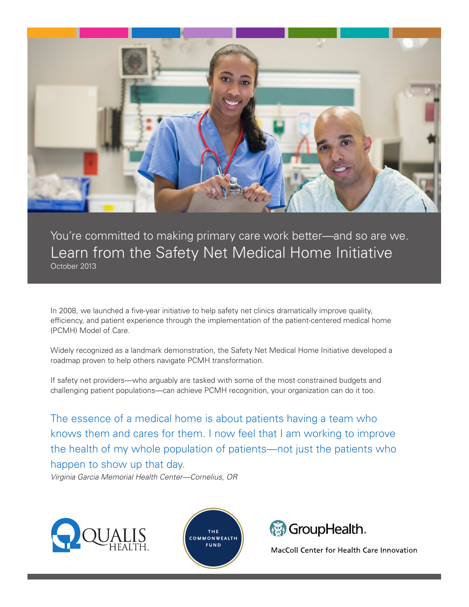

You're committed to making primary care work better—and so are we. Learn from the Safety Net Medical Home Initiative October 2013

In 2008, we launched a five-year initiative to help safety net clinics dramatically improve quality, efficiency, and patient experience through the implementation of the patient-centered medical home (PCMH) Model of Care.

Widely recognized as a landmark demonstration, the Safety Net Medical Home Initiative developed a roadmap proven to help others navigate PCMH transformation.

If safety net providers—who arguably are tasked with some of the most constrained budgets and challenging patient populations—can achieve PCMH recognition, your organization can do it too.

The essence of a medical home is about patients having a team who knows them and cares for them. I now feel that I am working to improve the health of my whole population of patients—not just the patients who happen to show up that day.

*Virginia Garcia Memorial Health Center—Cornelius, OR*







MacColl Center for Health Care Innovation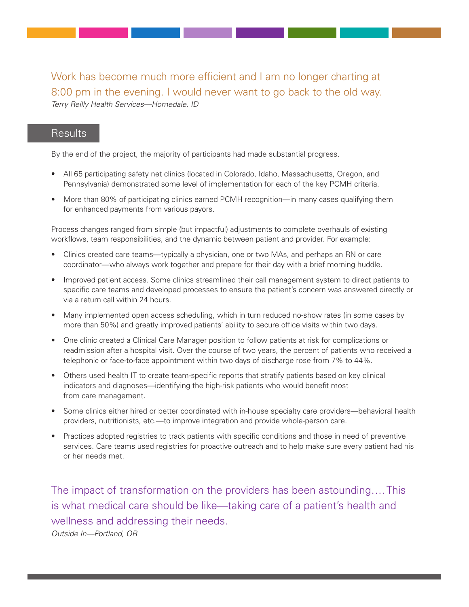Work has become much more efficient and I am no longer charting at 8:00 pm in the evening. I would never want to go back to the old way. *Terry Reilly Health Services—Homedale, ID*

### **Results**

By the end of the project, the majority of participants had made substantial progress.

- All 65 participating safety net clinics (located in Colorado, Idaho, Massachusetts, Oregon, and Pennsylvania) demonstrated some level of implementation for each of the key PCMH criteria.
- More than 80% of participating clinics earned PCMH recognition—in many cases qualifying them for enhanced payments from various payors.

Process changes ranged from simple (but impactful) adjustments to complete overhauls of existing workflows, team responsibilities, and the dynamic between patient and provider. For example:

- Clinics created care teams—typically a physician, one or two MAs, and perhaps an RN or care coordinator—who always work together and prepare for their day with a brief morning huddle.
- Improved patient access. Some clinics streamlined their call management system to direct patients to specific care teams and developed processes to ensure the patient's concern was answered directly or via a return call within 24 hours.
- Many implemented open access scheduling, which in turn reduced no-show rates (in some cases by more than 50%) and greatly improved patients' ability to secure office visits within two days.
- One clinic created a Clinical Care Manager position to follow patients at risk for complications or readmission after a hospital visit. Over the course of two years, the percent of patients who received a telephonic or face-to-face appointment within two days of discharge rose from 7% to 44%.
- Others used health IT to create team-specific reports that stratify patients based on key clinical indicators and diagnoses—identifying the high-risk patients who would benefit most from care management.
- Some clinics either hired or better coordinated with in-house specialty care providers—behavioral health providers, nutritionists, etc.—to improve integration and provide whole-person care.
- Practices adopted registries to track patients with specific conditions and those in need of preventive services. Care teams used registries for proactive outreach and to help make sure every patient had his or her needs met.

The impact of transformation on the providers has been astounding…. This is what medical care should be like—taking care of a patient's health and wellness and addressing their needs. *Outside In—Portland, OR*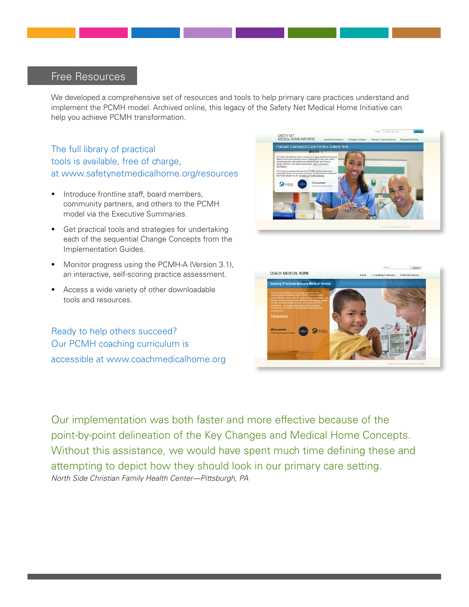## Free Resources

We developed a comprehensive set of resources and tools to help primary care practices understand and implement the PCMH model. Archived online, this legacy of the Safety Net Medical Home Initiative can help you achieve PCMH transformation.

The full library of practical tools is available, free of charge, at www.safetynetmedicalhome.org/resources

- Introduce frontline staff, board members, community partners, and others to the PCMH model via the Executive Summaries.
- Get practical tools and strategies for undertaking each of the sequential Change Concepts from the Implementation Guides.
- Monitor progress using the PCMH-A (Version 3.1), an interactive, self-scoring practice assessment.
- Access a wide variety of other downloadable tools and resources.

Ready to help others succeed? Our PCMH coaching curriculum is accessible at www.coachmedicalhome.org





Our implementation was both faster and more effective because of the point-by-point delineation of the Key Changes and Medical Home Concepts. Without this assistance, we would have spent much time defining these and attempting to depict how they should look in our primary care setting. *North Side Christian Family Health Center—Pittsburgh, PA*